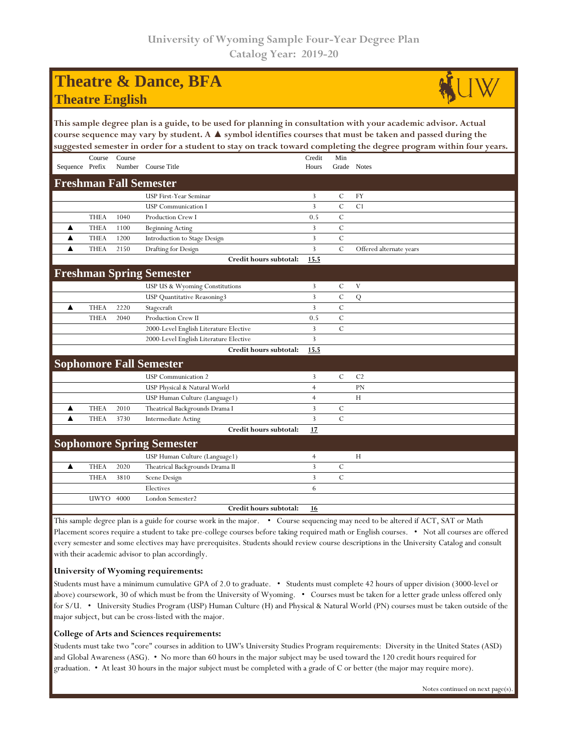## **Theatre & Dance, BFA Theatre English**



**This sample degree plan is a guide, to be used for planning in consultation with your academic advisor. Actual course sequence may vary by student. A ▲ symbol identifies courses that must be taken and passed during the suggested semester in order for a student to stay on track toward completing the degree program within four years.**

| 88                               |             |                  |                                        |                 |                | o                       |  |  |  |
|----------------------------------|-------------|------------------|----------------------------------------|-----------------|----------------|-------------------------|--|--|--|
| Sequence Prefix                  | Course      | Course<br>Number | Course Title                           | Credit<br>Hours | Min            | Grade Notes             |  |  |  |
|                                  |             |                  |                                        |                 |                |                         |  |  |  |
| <b>Freshman Fall Semester</b>    |             |                  |                                        |                 |                |                         |  |  |  |
|                                  |             |                  | USP First-Year Seminar                 | 3               | C              | <b>FY</b>               |  |  |  |
|                                  |             |                  | <b>USP</b> Communication I             | 3               | $\mathcal{C}$  | C1                      |  |  |  |
|                                  | <b>THEA</b> | 1040             | Production Crew I                      | 0.5             | $\overline{C}$ |                         |  |  |  |
| ▲                                | <b>THEA</b> | 1100             | <b>Beginning Acting</b>                | 3               | $\mathcal{C}$  |                         |  |  |  |
| ▲                                | <b>THEA</b> | 1200             | Introduction to Stage Design           | 3               | $\mathbf C$    |                         |  |  |  |
| ▲                                | <b>THEA</b> | 2150             | Drafting for Design                    | 3               | $\mathbf C$    | Offered alternate years |  |  |  |
|                                  |             |                  | Credit hours subtotal:                 | 15.5            |                |                         |  |  |  |
|                                  |             |                  | <b>Freshman Spring Semester</b>        |                 |                |                         |  |  |  |
|                                  |             |                  | USP US & Wyoming Constitutions         | 3               | C              | V                       |  |  |  |
|                                  |             |                  | USP Quantitative Reasoning3            | 3               | $\cal C$       | ${\bf Q}$               |  |  |  |
| ▲                                | <b>THEA</b> | 2220             | Stagecraft                             | 3               | $\mathcal C$   |                         |  |  |  |
|                                  | <b>THEA</b> | 2040             | Production Crew II                     | 0.5             | $\mathbf C$    |                         |  |  |  |
|                                  |             |                  | 2000-Level English Literature Elective | 3               | $\overline{C}$ |                         |  |  |  |
|                                  |             |                  | 2000-Level English Literature Elective | 3               |                |                         |  |  |  |
|                                  |             |                  | Credit hours subtotal:                 | 15.5            |                |                         |  |  |  |
|                                  |             |                  | <b>Sophomore Fall Semester</b>         |                 |                |                         |  |  |  |
|                                  |             |                  | <b>USP</b> Communication 2             | 3               | $\mathbf C$    | C <sub>2</sub>          |  |  |  |
|                                  |             |                  | USP Physical & Natural World           | $\overline{4}$  |                | PN                      |  |  |  |
|                                  |             |                  | USP Human Culture (Language1)          | $\overline{4}$  |                | H                       |  |  |  |
| ▲                                | <b>THEA</b> | 2010             | Theatrical Backgrounds Drama I         | 3               | C              |                         |  |  |  |
| ▲                                | <b>THEA</b> | 3730             | <b>Intermediate Acting</b>             | 3               | $\mathbf C$    |                         |  |  |  |
|                                  |             |                  | Credit hours subtotal:                 | 17              |                |                         |  |  |  |
| <b>Sophomore Spring Semester</b> |             |                  |                                        |                 |                |                         |  |  |  |
|                                  |             |                  | USP Human Culture (Language1)          | $\overline{4}$  |                | H                       |  |  |  |
| ▲                                | <b>THEA</b> | 2020             | Theatrical Backgrounds Drama II        | 3               | $\mathcal{C}$  |                         |  |  |  |
|                                  | <b>THEA</b> | 3810             | Scene Design                           | 3               | $\mathbf C$    |                         |  |  |  |
|                                  |             |                  | Electives                              | 6               |                |                         |  |  |  |
|                                  | UWYO        | 4000             | London Semester2                       |                 |                |                         |  |  |  |
|                                  |             |                  | Credit hours subtotal:                 | 16              |                |                         |  |  |  |

This sample degree plan is a guide for course work in the major. • Course sequencing may need to be altered if ACT, SAT or Math Placement scores require a student to take pre-college courses before taking required math or English courses. • Not all courses are offered every semester and some electives may have prerequisites. Students should review course descriptions in the University Catalog and consult with their academic advisor to plan accordingly.

## **University of Wyoming requirements:**

Students must have a minimum cumulative GPA of 2.0 to graduate. • Students must complete 42 hours of upper division (3000-level or above) coursework, 30 of which must be from the University of Wyoming. • Courses must be taken for a letter grade unless offered only for S/U. • University Studies Program (USP) Human Culture (H) and Physical & Natural World (PN) courses must be taken outside of the major subject, but can be cross-listed with the major.

## **College of Arts and Sciences requirements:**

Students must take two "core" courses in addition to UW's University Studies Program requirements: Diversity in the United States (ASD) and Global Awareness (ASG). • No more than 60 hours in the major subject may be used toward the 120 credit hours required for graduation. • At least 30 hours in the major subject must be completed with a grade of C or better (the major may require more).